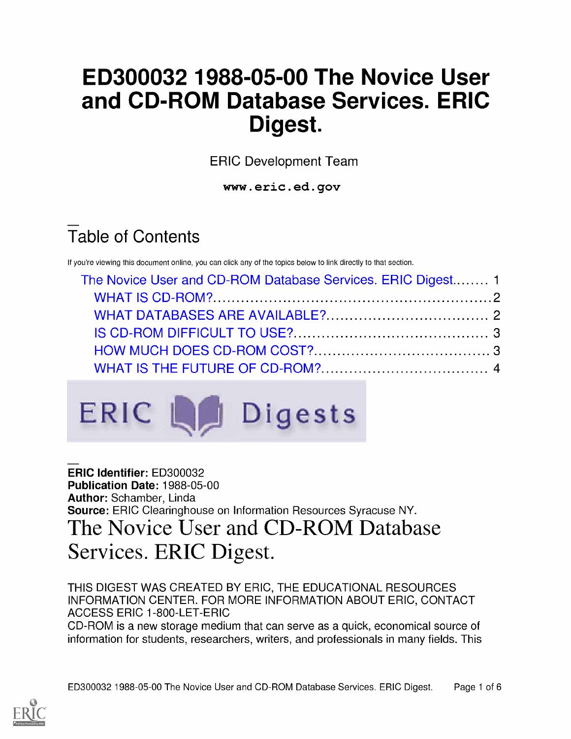# ED300032 1988-05-00 The Novice User and CD-ROM Database Services. ERIC Digest.

ERIC Development Team

www.eric.ed.gov

# Table of Contents

If you're viewing this document online, you can click any of the topics below to link directly to that section.

| The Novice User and CD-ROM Database Services. ERIC Digest 1 |  |
|-------------------------------------------------------------|--|
|                                                             |  |
|                                                             |  |
|                                                             |  |
|                                                             |  |
|                                                             |  |
|                                                             |  |



ERIC Identifier: ED300032 Publication Date: 1988-05-00 Author: Schamber, Linda Source: ERIC Clearinghouse on Information Resources Syracuse NY. The Novice User and CD-ROM Database Services. ERIC Digest.

THIS DIGEST WAS CREATED BY ERIC, THE EDUCATIONAL RESOURCES INFORMATION CENTER. FOR MORE INFORMATION ABOUT ERIC, CONTACT ACCESS ERIC 1-800-LET-ERIC

CD-ROM is a new storage medium that can serve as a quick, economical source of information for students, researchers, writers, and professionals in many fields. This

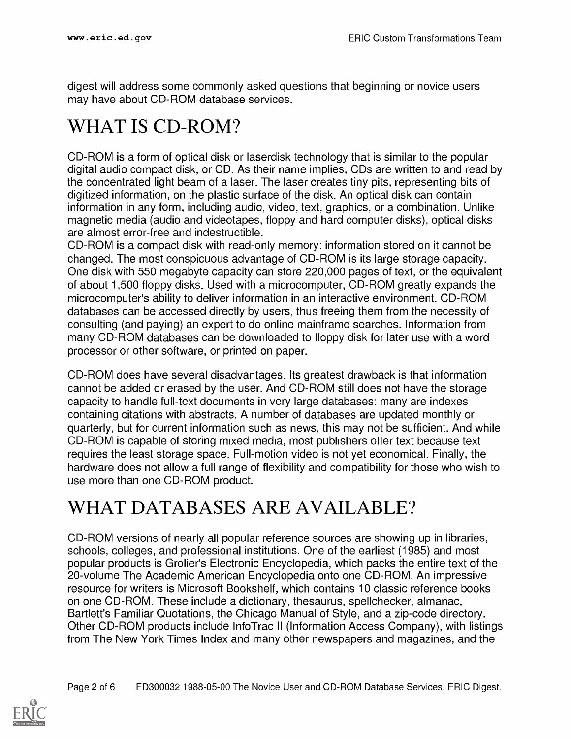digest will address some commonly asked questions that beginning or novice users may have about CD-ROM database services.

## WHAT IS CD-ROM?

CD-ROM is a form of optical disk or laserdisk technology that is similar to the popular digital audio compact disk, or CD. As their name implies, CDs are written to and read by the concentrated light beam of a laser. The laser creates tiny pits, representing bits of digitized information, on the plastic surface of the disk. An optical disk can contain information in any form, including audio, video, text, graphics, or a combination. Unlike magnetic media (audio and videotapes, floppy and hard computer disks), optical disks are almost error-free and indestructible.

CD-ROM is a compact disk with read-only memory: information stored on it cannot be changed. The most conspicuous advantage of CD-ROM is its large storage capacity. One disk with 550 megabyte capacity can store 220,000 pages of text, or the equivalent of about 1,500 floppy disks. Used with a microcomputer, CD-ROM greatly expands the microcomputer's ability to deliver information in an interactive environment. CD-ROM databases can be accessed directly by users, thus freeing them from the necessity of consulting (and paying) an expert to do online mainframe searches. Information from many CD-ROM databases can be downloaded to floppy disk for later use with a word processor or other software, or printed on paper.

CD-ROM does have several disadvantages. Its greatest drawback is that information cannot be added or erased by the user. And CD-ROM still does not have the storage capacity to handle full-text documents in very large databases: many are indexes containing citations with abstracts. A number of databases are updated monthly or quarterly, but for current information such as news, this may not be sufficient. And while CD-ROM is capable of storing mixed media, most publishers offer text because text requires the least storage space. Full-motion video is not yet economical. Finally, the hardware does not allow a full range of flexibility and compatibility for those who wish to use more than one CD-ROM product.

#### WHAT DATABASES ARE AVAILABLE?

CD-ROM versions of nearly all popular reference sources are showing up in libraries, schools, colleges, and professional institutions. One of the earliest (1985) and most popular products is Grolier's Electronic Encyclopedia, which packs the entire text of the 20-volume The Academic American Encyclopedia onto one CD-ROM. An impressive resource for writers is Microsoft Bookshelf, which contains 10 classic reference books on one CD-ROM. These include a dictionary, thesaurus, spellchecker, almanac, Bartlett's Familiar Quotations, the Chicago Manual of Style, and a zip-code directory. Other CD-ROM products include InfoTrac II (Information Access Company), with listings from The New York Times Index and many other newspapers and magazines, and the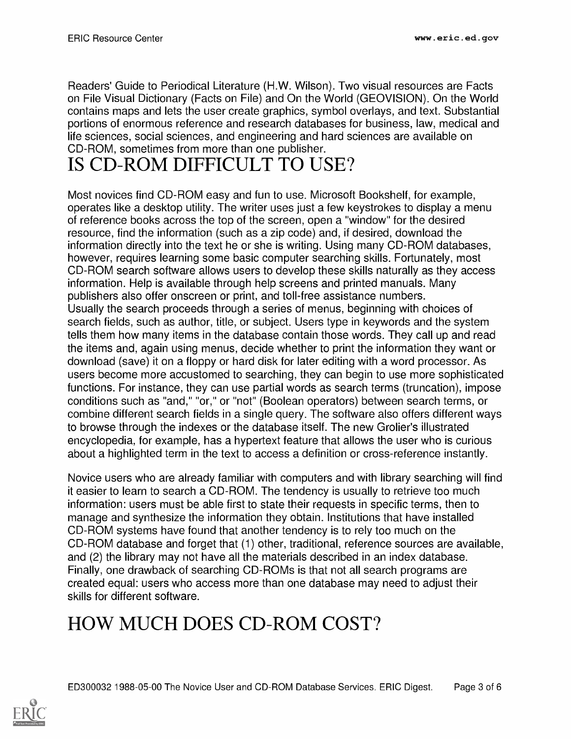Readers' Guide to Periodical Literature (H.W. Wilson). Two visual resources are Facts on File Visual Dictionary (Facts on File) and On the World (GEOVISION). On the World contains maps and lets the user create graphics, symbol overlays, and text. Substantial portions of enormous reference and research databases for business, law, medical and life sciences, social sciences, and engineering and hard sciences are available on CD-ROM, sometimes from more than one publisher.

#### IS CD-ROM DIFFICULT TO USE?

Most novices find CD-ROM easy and fun to use. Microsoft Bookshelf, for example, operates like a desktop utility. The writer uses just a few keystrokes to display a menu of reference books across the top of the screen, open a "window" for the desired resource, find the information (such as a zip code) and, if desired, download the information directly into the text he or she is writing. Using many CD-ROM databases, however, requires learning some basic computer searching skills. Fortunately, most CD-ROM search software allows users to develop these skills naturally as they access information. Help is available through help screens and printed manuals. Many publishers also offer onscreen or print, and toll-free assistance numbers. Usually the search proceeds through a series of menus, beginning with choices of search fields, such as author, title, or subject. Users type in keywords and the system tells them how many items in the database contain those words. They call up and read the items and, again using menus, decide whether to print the information they want or download (save) it on a floppy or hard disk for later editing with a word processor. As users become more accustomed to searching, they can begin to use more sophisticated functions. For instance, they can use partial words as search terms (truncation), impose conditions such as "and," "or," or "not" (Boolean operators) between search terms, or combine different search fields in a single query. The software also offers different ways to browse through the indexes or the database itself. The new Grolier's illustrated encyclopedia, for example, has a hypertext feature that allows the user who is curious about a highlighted term in the text to access a definition or cross-reference instantly.

Novice users who are already familiar with computers and with library searching will find it easier to learn to search a CD-ROM. The tendency is usually to retrieve too much information: users must be able first to state their requests in specific terms, then to manage and synthesize the information they obtain. Institutions that have installed CD-ROM systems have found that another tendency is to rely too much on the CD-ROM database and forget that (1) other, traditional, reference sources are available, and (2) the library may not have all the materials described in an index database. Finally, one drawback of searching CD-ROMs is that not all search programs are created equal: users who access more than one database may need to adjust their skills for different software.

## HOW MUCH DOES CD-ROM COST?

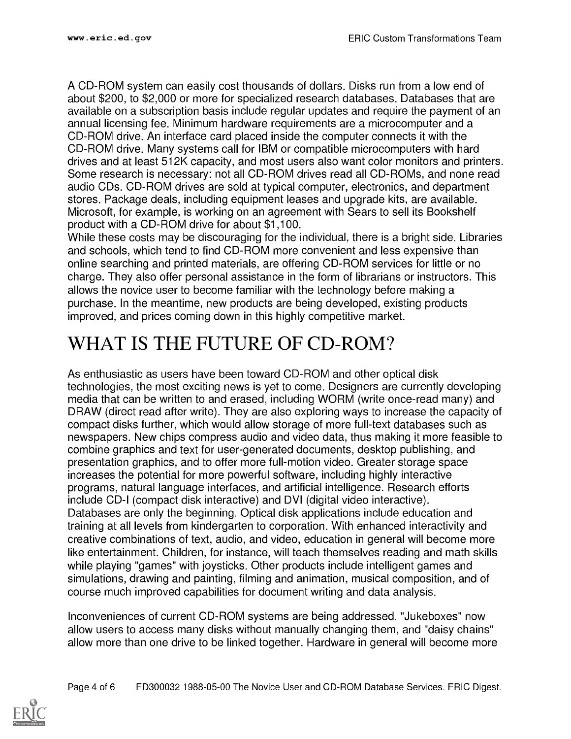A CD-ROM system can easily cost thousands of dollars. Disks run from a low end of about \$200, to \$2,000 or more for specialized research databases. Databases that are available on a subscription basis include regular updates and require the payment of an annual licensing fee. Minimum hardware requirements are a microcomputer and a CD-ROM drive. An interface card placed inside the computer connects it with the CD-ROM drive. Many systems call for IBM or compatible microcomputers with hard drives and at least 512K capacity, and most users also want color monitors and printers. Some research is necessary: not all CD-ROM drives read all CD-ROMs, and none read audio CDs. CD-ROM drives are sold at typical computer, electronics, and department stores. Package deals, including equipment leases and upgrade kits, are available. Microsoft, for example, is working on an agreement with Sears to sell its Bookshelf product with a CD-ROM drive for about \$1,100.

While these costs may be discouraging for the individual, there is a bright side. Libraries and schools, which tend to find CD-ROM more convenient and less expensive than online searching and printed materials, are offering CD-ROM services for little or no charge. They also offer personal assistance in the form of librarians or instructors. This allows the novice user to become familiar with the technology before making a purchase. In the meantime, new products are being developed, existing products improved, and prices coming down in this highly competitive market.

#### WHAT IS THE FUTURE OF CD-ROM?

As enthusiastic as users have been toward CD-ROM and other optical disk technologies, the most exciting news is yet to come. Designers are currently developing media that can be written to and erased, including WORM (write once-read many) and DRAW (direct read after write). They are also exploring ways to increase the capacity of compact disks further, which would allow storage of more full-text databases such as newspapers. New chips compress audio and video data, thus making it more feasible to combine graphics and text for user-generated documents, desktop publishing, and presentation graphics, and to offer more full-motion video. Greater storage space increases the potential for more powerful software, including highly interactive programs, natural language interfaces, and artificial intelligence. Research efforts include CD-I (compact disk interactive) and DVI (digital video interactive). Databases are only the beginning. Optical disk applications include education and training at all levels from kindergarten to corporation. With enhanced interactivity and creative combinations of text, audio, and video, education in general will become more like entertainment. Children, for instance, will teach themselves reading and math skills while playing "games" with joysticks. Other products include intelligent games and simulations, drawing and painting, filming and animation, musical composition, and of course much improved capabilities for document writing and data analysis.

Inconveniences of current CD-ROM systems are being addressed. "Jukeboxes" now allow users to access many disks without manually changing them, and "daisy chains" allow more than one drive to be linked together. Hardware in general will become more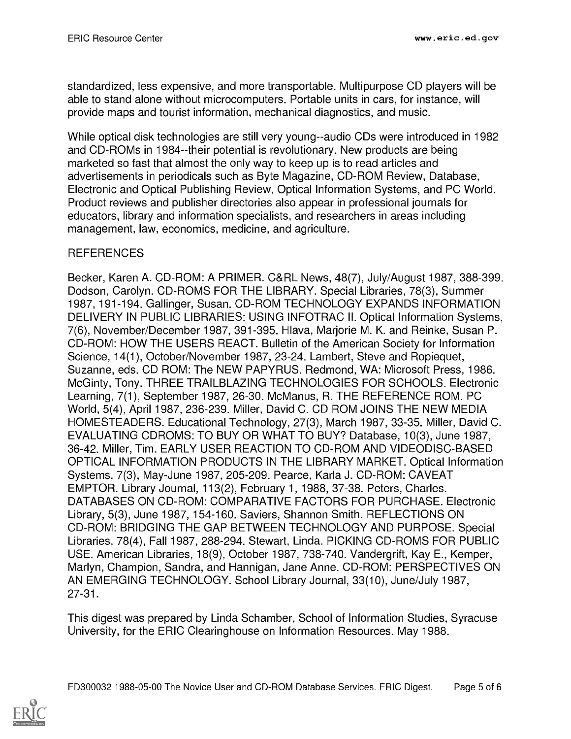standardized, less expensive, and more transportable. Multipurpose CD players will be able to stand alone without microcomputers. Portable units in cars, for instance, will provide maps and tourist information, mechanical diagnostics, and music.

While optical disk technologies are still very young--audio CDs were introduced in 1982 and CD-ROMs in 1984--their potential is revolutionary. New products are being marketed so fast that almost the only way to keep up is to read articles and advertisements in periodicals such as Byte Magazine, CD-ROM Review, Database, Electronic and Optical Publishing Review, Optical Information Systems, and PC World. Product reviews and publisher directories also appear in professional journals for educators, library and information specialists, and researchers in areas including management, law, economics, medicine, and agriculture.

#### **REFERENCES**

Becker, Karen A. CD-ROM: A PRIMER. C&RL News, 48(7), July/August 1987, 388-399. Dodson, Carolyn. CD-ROMS FOR THE LIBRARY. Special Libraries, 78(3), Summer 1987, 191-194. Gallinger, Susan. CD-ROM TECHNOLOGY EXPANDS INFORMATION DELIVERY IN PUBLIC LIBRARIES: USING INFOTRAC II. Optical Information Systems, 7(6), November/December 1987, 391-395. Hlava, Marjorie M. K. and Reinke, Susan P. CD-ROM: HOW THE USERS REACT. Bulletin of the American Society for Information Science, 14(1), October/November 1987, 23-24. Lambert, Steve and Ropiequet, Suzanne, eds. CD ROM: The NEW PAPYRUS. Redmond, WA: Microsoft Press, 1986. McGinty, Tony. THREE TRAILBLAZING TECHNOLOGIES FOR SCHOOLS. Electronic Learning, 7(1), September 1987, 26-30. McManus, R. THE REFERENCE ROM. PC World, 5(4), April 1987, 236-239. Miller, David C. CD ROM JOINS THE NEW MEDIA HOMESTEADERS. Educational Technology, 27(3), March 1987, 33-35. Miller, David C. EVALUATING CDROMS: TO BUY OR WHAT TO BUY? Database, 10(3), June 1987, 36-42. Miller, Tim. EARLY USER REACTION TO CD-ROM AND VIDEODISC-BASED OPTICAL INFORMATION PRODUCTS IN THE LIBRARY MARKET. Optical Information Systems, 7(3), May-June 1987, 205-209. Pearce, Karla J. CD-ROM: CAVEAT EMPTOR. Library Journal, 113(2), February 1, 1988, 37-38. Peters, Charles. DATABASES ON CD-ROM: COMPARATIVE FACTORS FOR PURCHASE. Electronic Library, 5(3), June 1987, 154-160. Saviers, Shannon Smith. REFLECTIONS ON CD-ROM: BRIDGING THE GAP BETWEEN TECHNOLOGY AND PURPOSE. Special Libraries, 78(4), Fall 1987, 288-294. Stewart, Linda. PICKING CD-ROMS FOR PUBLIC USE. American Libraries, 18(9), October 1987, 738-740. Vandergrift, Kay E., Kemper, Marlyn, Champion, Sandra, and Hannigan, Jane Anne. CD-ROM: PERSPECTIVES ON AN EMERGING TECHNOLOGY. School Library Journal, 33(10), June/July 1987, 27-31

This digest was prepared by Linda Schamber, School of Information Studies, Syracuse University, for the ERIC Clearinghouse on Information Resources. May 1988.